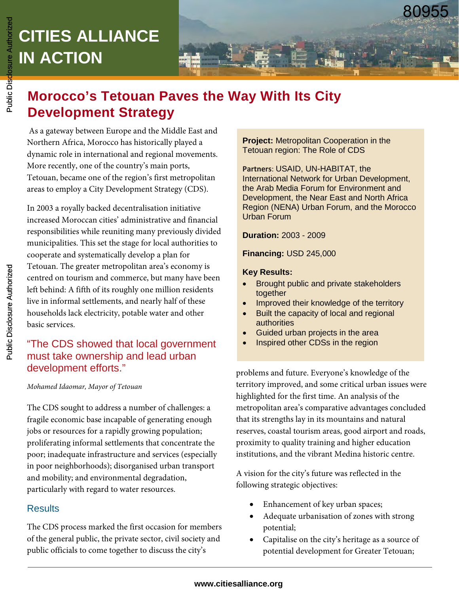## **CITIES ALLIANCE IN ACTION CITIES ALLIANCE IN ACTION**

# **Morocco's Tetouan Paves the Way With Its City Development Strategy**

As a gateway between Europe and the Middle East and Northern Africa, Morocco has historically played a dynamic role in international and regional movements. More recently, one of the country's main ports, Tetouan, became one of the region's first metropolitan areas to employ a City Development Strategy (CDS).

In 2003 a royally backed decentralisation initiative increased Moroccan cities' administrative and financial responsibilities while reuniting many previously divided municipalities. This set the stage for local authorities to cooperate and systematically develop a plan for Tetouan. The greater metropolitan area's economy is centred on tourism and commerce, but many have been left behind: A fifth of its roughly one million residents live in informal settlements, and nearly half of these households lack electricity, potable water and other basic services.

## "The CDS showed that local government must take ownership and lead urban development efforts."

## *Mohamed Idaomar, Mayor of Tetouan*

The CDS sought to address a number of challenges: a fragile economic base incapable of generating enough jobs or resources for a rapidly growing population; proliferating informal settlements that concentrate the poor; inadequate infrastructure and services (especially in poor neighborhoods); disorganised urban transport and mobility; and environmental degradation, particularly with regard to water resources.

## **Results**

The CDS process marked the first occasion for members of the general public, the private sector, civil society and public officials to come together to discuss the city's

**Project:** Metropolitan Cooperation in the Tetouan region: The Role of CDS

**Partners**: USAID, UN-HABITAT, the International Network for Urban Development, the Arab Media Forum for Environment and Development, the Near East and North Africa Region (NENA) Urban Forum, and the Morocco Urban Forum

**Duration:** 2003 - 2009

**Financing:** USD 245,000

## **Key Results:**

- Brought public and private stakeholders together
- Improved their knowledge of the territory
- Built the capacity of local and regional authorities
- Guided urban projects in the area
- Inspired other CDSs in the region

problems and future. Everyone's knowledge of the territory improved, and some critical urban issues were highlighted for the first time. An analysis of the metropolitan area's comparative advantages concluded that its strengths lay in its mountains and natural reserves, coastal tourism areas, good airport and roads, proximity to quality training and higher education institutions, and the vibrant Medina historic centre.

A vision for the city's future was reflected in the following strategic objectives:

- Enhancement of key urban spaces;
- Adequate urbanisation of zones with strong potential;
- Capitalise on the city's heritage as a source of potential development for Greater Tetouan;

## **www.citiesalliance.org**